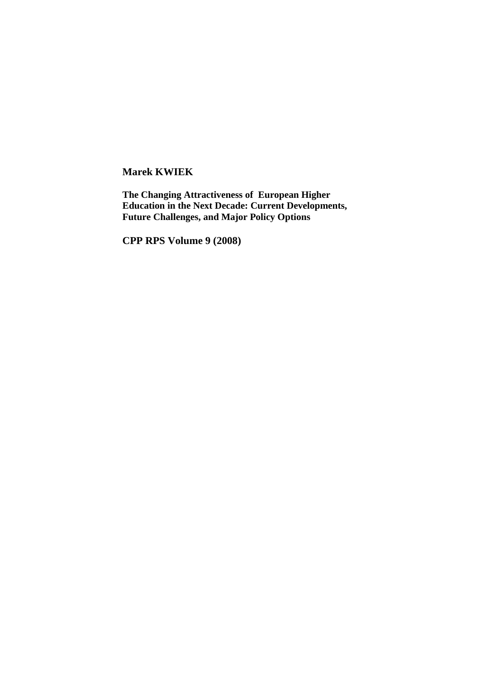**Marek KWIEK**

**The Changing Attractiveness of European Higher Education in the Next Decade: Current Developments, Future Challenges, and Major Policy Options**

**CPP RPS Volume 9 (2008)**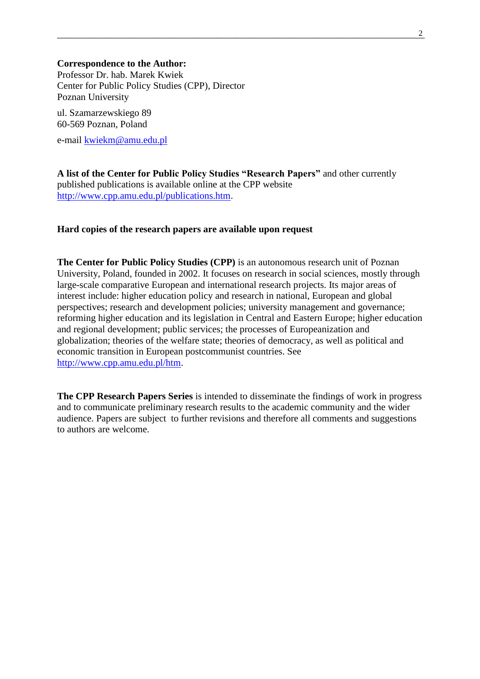**Correspondence to the Author:**

Professor Dr. hab. Marek Kwiek Center for Public Policy Studies (CPP), Director Poznan University

ul. Szamarzewskiego 89 60-569 Poznan, Poland

e-mail [kwiekm@amu.edu.pl](mailto:kwiekm@amu.edu.pl)

**A list of the Center for Public Policy Studies "Research Papers"** and other currently published publications is available online at the CPP website [http://www.cpp.amu.edu.pl/publications.htm.](http://www.cpp.amu.edu.pl/publications.htm)

#### **Hard copies of the research papers are available upon request**

**The Center for Public Policy Studies (CPP)** is an autonomous research unit of Poznan University, Poland, founded in 2002. It focuses on research in social sciences, mostly through large-scale comparative European and international research projects. Its major areas of interest include: higher education policy and research in national, European and global perspectives; research and development policies; university management and governance; reforming higher education and its legislation in Central and Eastern Europe; higher education and regional development; public services; the processes of Europeanization and globalization; theories of the welfare state; theories of democracy, as well as political and economic transition in European postcommunist countries. See [http://www.cpp.amu.edu.pl/htm.](http://www.cpp.amu.edu.pl/htm)

**The CPP Research Papers Series** is intended to disseminate the findings of work in progress and to communicate preliminary research results to the academic community and the wider audience. Papers are subject to further revisions and therefore all comments and suggestions to authors are welcome.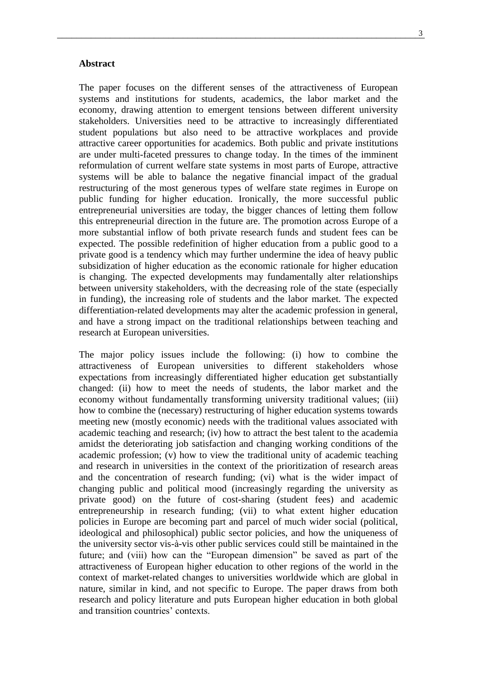#### **Abstract**

The paper focuses on the different senses of the attractiveness of European systems and institutions for students, academics, the labor market and the economy, drawing attention to emergent tensions between different university stakeholders. Universities need to be attractive to increasingly differentiated student populations but also need to be attractive workplaces and provide attractive career opportunities for academics. Both public and private institutions are under multi-faceted pressures to change today. In the times of the imminent reformulation of current welfare state systems in most parts of Europe, attractive systems will be able to balance the negative financial impact of the gradual restructuring of the most generous types of welfare state regimes in Europe on public funding for higher education. Ironically, the more successful public entrepreneurial universities are today, the bigger chances of letting them follow this entrepreneurial direction in the future are. The promotion across Europe of a more substantial inflow of both private research funds and student fees can be expected. The possible redefinition of higher education from a public good to a private good is a tendency which may further undermine the idea of heavy public subsidization of higher education as the economic rationale for higher education is changing. The expected developments may fundamentally alter relationships between university stakeholders, with the decreasing role of the state (especially in funding), the increasing role of students and the labor market. The expected differentiation-related developments may alter the academic profession in general, and have a strong impact on the traditional relationships between teaching and research at European universities.

The major policy issues include the following: (i) how to combine the attractiveness of European universities to different stakeholders whose expectations from increasingly differentiated higher education get substantially changed: (ii) how to meet the needs of students, the labor market and the economy without fundamentally transforming university traditional values; (iii) how to combine the (necessary) restructuring of higher education systems towards meeting new (mostly economic) needs with the traditional values associated with academic teaching and research; (iv) how to attract the best talent to the academia amidst the deteriorating job satisfaction and changing working conditions of the academic profession; (v) how to view the traditional unity of academic teaching and research in universities in the context of the prioritization of research areas and the concentration of research funding; (vi) what is the wider impact of changing public and political mood (increasingly regarding the university as private good) on the future of cost-sharing (student fees) and academic entrepreneurship in research funding; (vii) to what extent higher education policies in Europe are becoming part and parcel of much wider social (political, ideological and philosophical) public sector policies, and how the uniqueness of the university sector vis-à-vis other public services could still be maintained in the future; and (viii) how can the "European dimension" be saved as part of the attractiveness of European higher education to other regions of the world in the context of market-related changes to universities worldwide which are global in nature, similar in kind, and not specific to Europe. The paper draws from both research and policy literature and puts European higher education in both global and transition countries' contexts.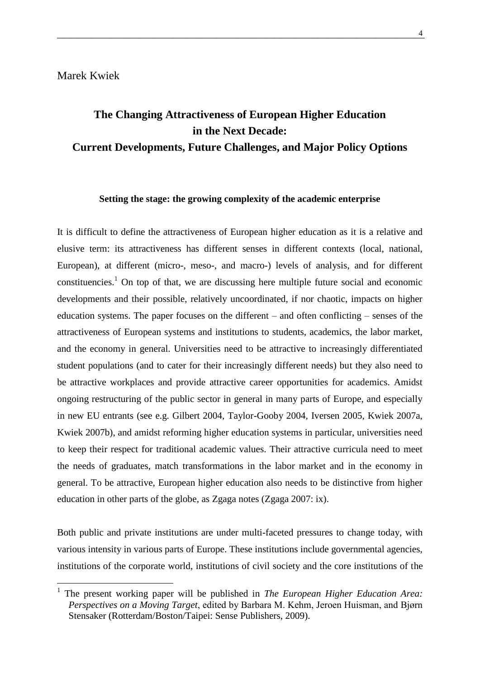# Marek Kwiek

 $\overline{a}$ 

# **The Changing Attractiveness of European Higher Education in the Next Decade: Current Developments, Future Challenges, and Major Policy Options**

#### **Setting the stage: the growing complexity of the academic enterprise**

It is difficult to define the attractiveness of European higher education as it is a relative and elusive term: its attractiveness has different senses in different contexts (local, national, European), at different (micro-, meso-, and macro-) levels of analysis, and for different constituencies.<sup>1</sup> On top of that, we are discussing here multiple future social and economic developments and their possible, relatively uncoordinated, if nor chaotic, impacts on higher education systems. The paper focuses on the different – and often conflicting – senses of the attractiveness of European systems and institutions to students, academics, the labor market, and the economy in general. Universities need to be attractive to increasingly differentiated student populations (and to cater for their increasingly different needs) but they also need to be attractive workplaces and provide attractive career opportunities for academics. Amidst ongoing restructuring of the public sector in general in many parts of Europe, and especially in new EU entrants (see e.g. Gilbert 2004, Taylor-Gooby 2004, Iversen 2005, Kwiek 2007a, Kwiek 2007b), and amidst reforming higher education systems in particular, universities need to keep their respect for traditional academic values. Their attractive curricula need to meet the needs of graduates, match transformations in the labor market and in the economy in general. To be attractive, European higher education also needs to be distinctive from higher education in other parts of the globe, as Zgaga notes (Zgaga 2007: ix).

Both public and private institutions are under multi-faceted pressures to change today, with various intensity in various parts of Europe. These institutions include governmental agencies, institutions of the corporate world, institutions of civil society and the core institutions of the

<sup>&</sup>lt;sup>1</sup> The present working paper will be published in *The European Higher Education Area: Perspectives on a Moving Target*, edited by Barbara M. Kehm, Jeroen Huisman, and Bjørn Stensaker (Rotterdam/Boston/Taipei: Sense Publishers, 2009).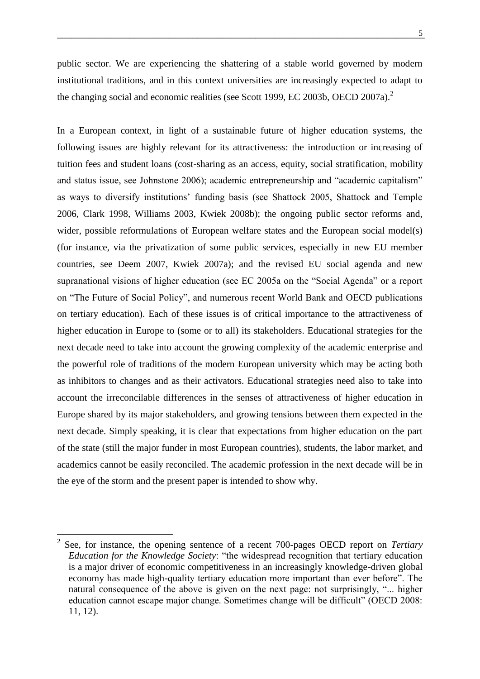public sector. We are experiencing the shattering of a stable world governed by modern institutional traditions, and in this context universities are increasingly expected to adapt to the changing social and economic realities (see Scott 1999, EC 2003b, OECD 2007a).<sup>2</sup>

In a European context, in light of a sustainable future of higher education systems, the following issues are highly relevant for its attractiveness: the introduction or increasing of tuition fees and student loans (cost-sharing as an access, equity, social stratification, mobility and status issue, see Johnstone 2006); academic entrepreneurship and "academic capitalism" as ways to diversify institutions" funding basis (see Shattock 2005, Shattock and Temple 2006, Clark 1998, Williams 2003, Kwiek 2008b); the ongoing public sector reforms and, wider, possible reformulations of European welfare states and the European social model(s) (for instance, via the privatization of some public services, especially in new EU member countries, see Deem 2007, Kwiek 2007a); and the revised EU social agenda and new supranational visions of higher education (see EC 2005a on the "Social Agenda" or a report on "The Future of Social Policy", and numerous recent World Bank and OECD publications on tertiary education). Each of these issues is of critical importance to the attractiveness of higher education in Europe to (some or to all) its stakeholders. Educational strategies for the next decade need to take into account the growing complexity of the academic enterprise and the powerful role of traditions of the modern European university which may be acting both as inhibitors to changes and as their activators. Educational strategies need also to take into account the irreconcilable differences in the senses of attractiveness of higher education in Europe shared by its major stakeholders, and growing tensions between them expected in the next decade. Simply speaking, it is clear that expectations from higher education on the part of the state (still the major funder in most European countries), students, the labor market, and academics cannot be easily reconciled. The academic profession in the next decade will be in the eye of the storm and the present paper is intended to show why.

<sup>2</sup> See, for instance, the opening sentence of a recent 700-pages OECD report on *Tertiary Education for the Knowledge Society*: "the widespread recognition that tertiary education is a major driver of economic competitiveness in an increasingly knowledge-driven global economy has made high-quality tertiary education more important than ever before". The natural consequence of the above is given on the next page: not surprisingly, "... higher education cannot escape major change. Sometimes change will be difficult" (OECD 2008: 11, 12).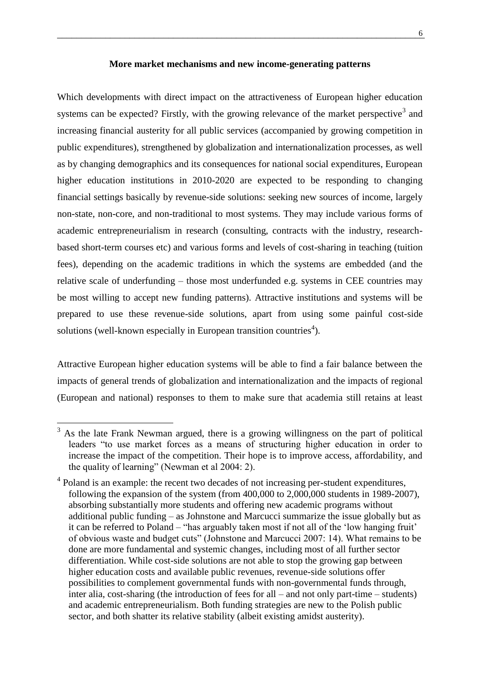#### **More market mechanisms and new income-generating patterns**

Which developments with direct impact on the attractiveness of European higher education systems can be expected? Firstly, with the growing relevance of the market perspective<sup>3</sup> and increasing financial austerity for all public services (accompanied by growing competition in public expenditures), strengthened by globalization and internationalization processes, as well as by changing demographics and its consequences for national social expenditures, European higher education institutions in 2010-2020 are expected to be responding to changing financial settings basically by revenue-side solutions: seeking new sources of income, largely non-state, non-core, and non-traditional to most systems. They may include various forms of academic entrepreneurialism in research (consulting, contracts with the industry, researchbased short-term courses etc) and various forms and levels of cost-sharing in teaching (tuition fees), depending on the academic traditions in which the systems are embedded (and the relative scale of underfunding – those most underfunded e.g. systems in CEE countries may be most willing to accept new funding patterns). Attractive institutions and systems will be prepared to use these revenue-side solutions, apart from using some painful cost-side solutions (well-known especially in European transition countries<sup>4</sup>).

Attractive European higher education systems will be able to find a fair balance between the impacts of general trends of globalization and internationalization and the impacts of regional (European and national) responses to them to make sure that academia still retains at least

<sup>&</sup>lt;sup>3</sup> As the late Frank Newman argued, there is a growing willingness on the part of political leaders "to use market forces as a means of structuring higher education in order to increase the impact of the competition. Their hope is to improve access, affordability, and the quality of learning" (Newman et al 2004: 2).

<sup>&</sup>lt;sup>4</sup> Poland is an example: the recent two decades of not increasing per-student expenditures, following the expansion of the system (from 400,000 to 2,000,000 students in 1989-2007), absorbing substantially more students and offering new academic programs without additional public funding – as Johnstone and Marcucci summarize the issue globally but as it can be referred to Poland – "has arguably taken most if not all of the "low hanging fruit" of obvious waste and budget cuts" (Johnstone and Marcucci 2007: 14). What remains to be done are more fundamental and systemic changes, including most of all further sector differentiation. While cost-side solutions are not able to stop the growing gap between higher education costs and available public revenues, revenue-side solutions offer possibilities to complement governmental funds with non-governmental funds through, inter alia, cost-sharing (the introduction of fees for all – and not only part-time – students) and academic entrepreneurialism. Both funding strategies are new to the Polish public sector, and both shatter its relative stability (albeit existing amidst austerity).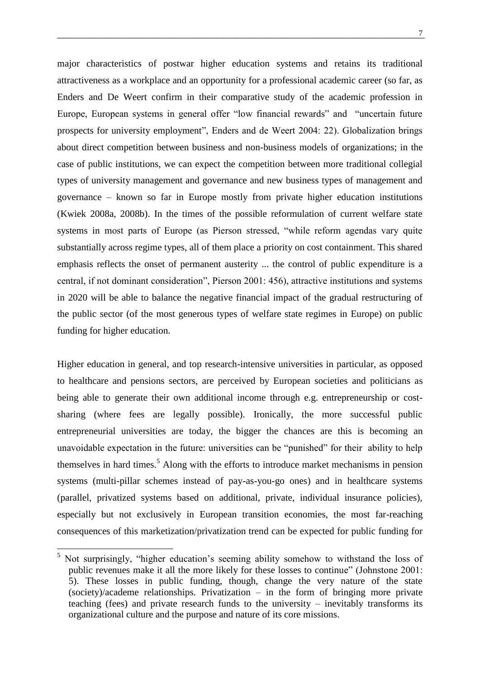major characteristics of postwar higher education systems and retains its traditional attractiveness as a workplace and an opportunity for a professional academic career (so far, as Enders and De Weert confirm in their comparative study of the academic profession in Europe, European systems in general offer "low financial rewards" and "uncertain future prospects for university employment", Enders and de Weert 2004: 22). Globalization brings about direct competition between business and non-business models of organizations; in the case of public institutions, we can expect the competition between more traditional collegial types of university management and governance and new business types of management and governance – known so far in Europe mostly from private higher education institutions (Kwiek 2008a, 2008b). In the times of the possible reformulation of current welfare state systems in most parts of Europe (as Pierson stressed, "while reform agendas vary quite substantially across regime types, all of them place a priority on cost containment. This shared emphasis reflects the onset of permanent austerity ... the control of public expenditure is a central, if not dominant consideration", Pierson 2001: 456), attractive institutions and systems in 2020 will be able to balance the negative financial impact of the gradual restructuring of the public sector (of the most generous types of welfare state regimes in Europe) on public funding for higher education.

Higher education in general, and top research-intensive universities in particular, as opposed to healthcare and pensions sectors, are perceived by European societies and politicians as being able to generate their own additional income through e.g. entrepreneurship or costsharing (where fees are legally possible). Ironically, the more successful public entrepreneurial universities are today, the bigger the chances are this is becoming an unavoidable expectation in the future: universities can be "punished" for their ability to help themselves in hard times.<sup>5</sup> Along with the efforts to introduce market mechanisms in pension systems (multi-pillar schemes instead of pay-as-you-go ones) and in healthcare systems (parallel, privatized systems based on additional, private, individual insurance policies), especially but not exclusively in European transition economies, the most far-reaching consequences of this marketization/privatization trend can be expected for public funding for

<sup>&</sup>lt;sup>5</sup> Not surprisingly, "higher education's seeming ability somehow to withstand the loss of public revenues make it all the more likely for these losses to continue" (Johnstone 2001: 5). These losses in public funding, though, change the very nature of the state (society)/academe relationships. Privatization – in the form of bringing more private teaching (fees) and private research funds to the university – inevitably transforms its organizational culture and the purpose and nature of its core missions.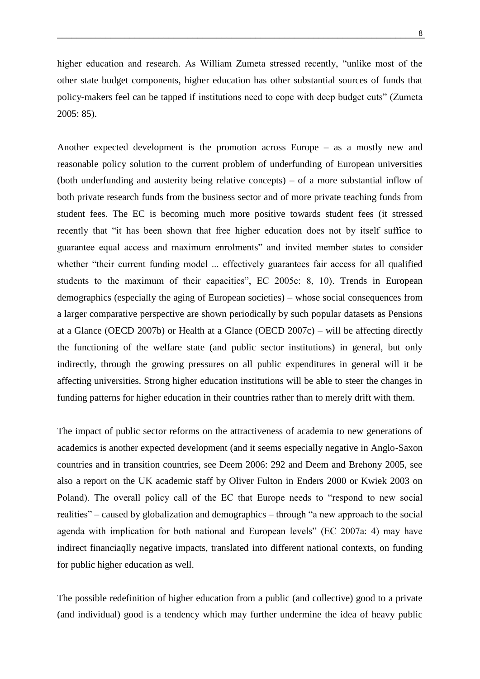higher education and research. As William Zumeta stressed recently, "unlike most of the other state budget components, higher education has other substantial sources of funds that policy-makers feel can be tapped if institutions need to cope with deep budget cuts" (Zumeta 2005: 85).

Another expected development is the promotion across Europe – as a mostly new and reasonable policy solution to the current problem of underfunding of European universities (both underfunding and austerity being relative concepts) – of a more substantial inflow of both private research funds from the business sector and of more private teaching funds from student fees. The EC is becoming much more positive towards student fees (it stressed recently that "it has been shown that free higher education does not by itself suffice to guarantee equal access and maximum enrolments" and invited member states to consider whether "their current funding model ... effectively guarantees fair access for all qualified students to the maximum of their capacities", EC 2005c: 8, 10). Trends in European demographics (especially the aging of European societies) – whose social consequences from a larger comparative perspective are shown periodically by such popular datasets as Pensions at a Glance (OECD 2007b) or Health at a Glance (OECD 2007c) – will be affecting directly the functioning of the welfare state (and public sector institutions) in general, but only indirectly, through the growing pressures on all public expenditures in general will it be affecting universities. Strong higher education institutions will be able to steer the changes in funding patterns for higher education in their countries rather than to merely drift with them.

The impact of public sector reforms on the attractiveness of academia to new generations of academics is another expected development (and it seems especially negative in Anglo-Saxon countries and in transition countries, see Deem 2006: 292 and Deem and Brehony 2005, see also a report on the UK academic staff by Oliver Fulton in Enders 2000 or Kwiek 2003 on Poland). The overall policy call of the EC that Europe needs to "respond to new social realities" – caused by globalization and demographics – through "a new approach to the social agenda with implication for both national and European levels" (EC 2007a: 4) may have indirect financiaqlly negative impacts, translated into different national contexts, on funding for public higher education as well.

The possible redefinition of higher education from a public (and collective) good to a private (and individual) good is a tendency which may further undermine the idea of heavy public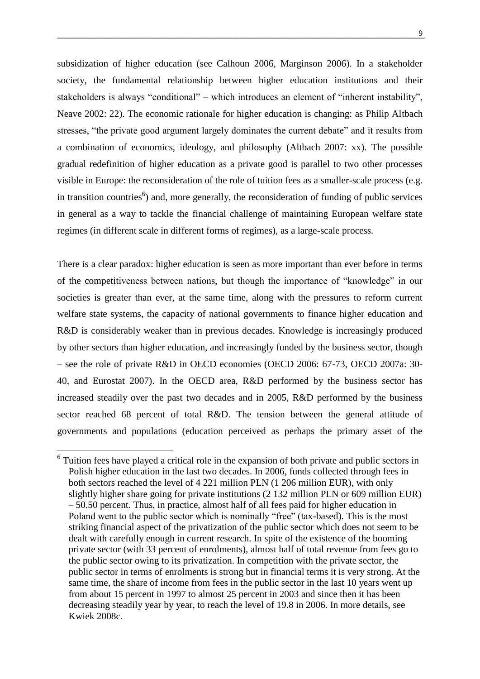subsidization of higher education (see Calhoun 2006, Marginson 2006). In a stakeholder society, the fundamental relationship between higher education institutions and their stakeholders is always "conditional" – which introduces an element of "inherent instability", Neave 2002: 22). The economic rationale for higher education is changing: as Philip Altbach stresses, "the private good argument largely dominates the current debate" and it results from a combination of economics, ideology, and philosophy (Altbach 2007: xx). The possible gradual redefinition of higher education as a private good is parallel to two other processes visible in Europe: the reconsideration of the role of tuition fees as a smaller-scale process (e.g. in transition countries<sup>6</sup>) and, more generally, the reconsideration of funding of public services in general as a way to tackle the financial challenge of maintaining European welfare state regimes (in different scale in different forms of regimes), as a large-scale process.

There is a clear paradox: higher education is seen as more important than ever before in terms of the competitiveness between nations, but though the importance of "knowledge" in our societies is greater than ever, at the same time, along with the pressures to reform current welfare state systems, the capacity of national governments to finance higher education and R&D is considerably weaker than in previous decades. Knowledge is increasingly produced by other sectors than higher education, and increasingly funded by the business sector, though – see the role of private R&D in OECD economies (OECD 2006: 67-73, OECD 2007a: 30- 40, and Eurostat 2007). In the OECD area, R&D performed by the business sector has increased steadily over the past two decades and in 2005, R&D performed by the business sector reached 68 percent of total R&D. The tension between the general attitude of governments and populations (education perceived as perhaps the primary asset of the

<sup>&</sup>lt;sup>6</sup> Tuition fees have played a critical role in the expansion of both private and public sectors in Polish higher education in the last two decades. In 2006, funds collected through fees in both sectors reached the level of 4 221 million PLN (1 206 million EUR), with only slightly higher share going for private institutions (2 132 million PLN or 609 million EUR) – 50.50 percent. Thus, in practice, almost half of all fees paid for higher education in Poland went to the public sector which is nominally "free" (tax-based). This is the most striking financial aspect of the privatization of the public sector which does not seem to be dealt with carefully enough in current research. In spite of the existence of the booming private sector (with 33 percent of enrolments), almost half of total revenue from fees go to the public sector owing to its privatization. In competition with the private sector, the public sector in terms of enrolments is strong but in financial terms it is very strong. At the same time, the share of income from fees in the public sector in the last 10 years went up from about 15 percent in 1997 to almost 25 percent in 2003 and since then it has been decreasing steadily year by year, to reach the level of 19.8 in 2006. In more details, see Kwiek 2008c.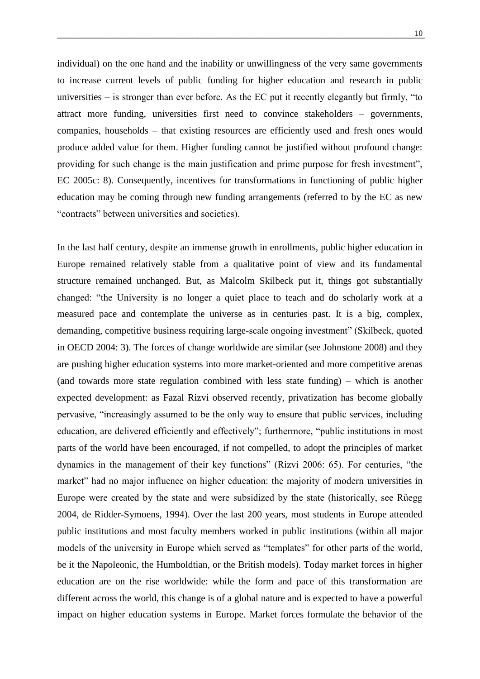individual) on the one hand and the inability or unwillingness of the very same governments to increase current levels of public funding for higher education and research in public universities – is stronger than ever before. As the EC put it recently elegantly but firmly, "to attract more funding, universities first need to convince stakeholders – governments, companies, households – that existing resources are efficiently used and fresh ones would produce added value for them. Higher funding cannot be justified without profound change: providing for such change is the main justification and prime purpose for fresh investment", EC 2005c: 8). Consequently, incentives for transformations in functioning of public higher education may be coming through new funding arrangements (referred to by the EC as new "contracts" between universities and societies).

In the last half century, despite an immense growth in enrollments, public higher education in Europe remained relatively stable from a qualitative point of view and its fundamental structure remained unchanged. But, as Malcolm Skilbeck put it, things got substantially changed: "the University is no longer a quiet place to teach and do scholarly work at a measured pace and contemplate the universe as in centuries past. It is a big, complex, demanding, competitive business requiring large-scale ongoing investment" (Skilbeck, quoted in OECD 2004: 3). The forces of change worldwide are similar (see Johnstone 2008) and they are pushing higher education systems into more market-oriented and more competitive arenas (and towards more state regulation combined with less state funding) – which is another expected development: as Fazal Rizvi observed recently, privatization has become globally pervasive, "increasingly assumed to be the only way to ensure that public services, including education, are delivered efficiently and effectively"; furthermore, "public institutions in most parts of the world have been encouraged, if not compelled, to adopt the principles of market dynamics in the management of their key functions" (Rizvi 2006: 65). For centuries, "the market" had no major influence on higher education: the majority of modern universities in Europe were created by the state and were subsidized by the state (historically, see Rüegg 2004, de Ridder-Symoens, 1994). Over the last 200 years, most students in Europe attended public institutions and most faculty members worked in public institutions (within all major models of the university in Europe which served as "templates" for other parts of the world, be it the Napoleonic, the Humboldtian, or the British models). Today market forces in higher education are on the rise worldwide: while the form and pace of this transformation are different across the world, this change is of a global nature and is expected to have a powerful impact on higher education systems in Europe. Market forces formulate the behavior of the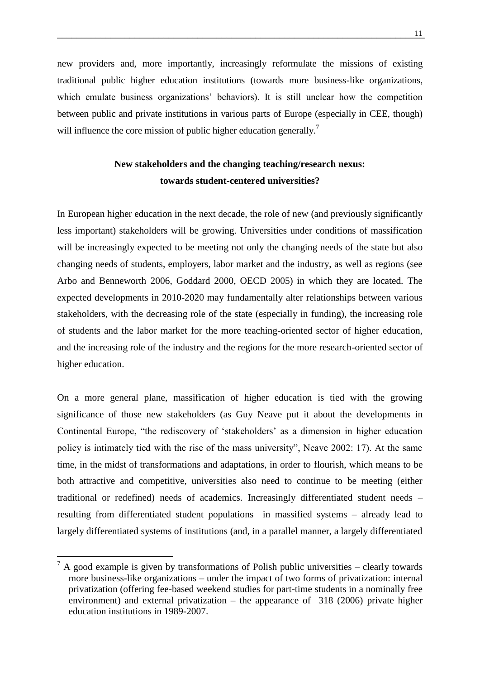new providers and, more importantly, increasingly reformulate the missions of existing traditional public higher education institutions (towards more business-like organizations, which emulate business organizations' behaviors). It is still unclear how the competition between public and private institutions in various parts of Europe (especially in CEE, though) will influence the core mission of public higher education generally.<sup>7</sup>

# **New stakeholders and the changing teaching/research nexus: towards student-centered universities?**

In European higher education in the next decade, the role of new (and previously significantly less important) stakeholders will be growing. Universities under conditions of massification will be increasingly expected to be meeting not only the changing needs of the state but also changing needs of students, employers, labor market and the industry, as well as regions (see Arbo and Benneworth 2006, Goddard 2000, OECD 2005) in which they are located. The expected developments in 2010-2020 may fundamentally alter relationships between various stakeholders, with the decreasing role of the state (especially in funding), the increasing role of students and the labor market for the more teaching-oriented sector of higher education, and the increasing role of the industry and the regions for the more research-oriented sector of higher education.

On a more general plane, massification of higher education is tied with the growing significance of those new stakeholders (as Guy Neave put it about the developments in Continental Europe, "the rediscovery of "stakeholders" as a dimension in higher education policy is intimately tied with the rise of the mass university", Neave 2002: 17). At the same time, in the midst of transformations and adaptations, in order to flourish, which means to be both attractive and competitive, universities also need to continue to be meeting (either traditional or redefined) needs of academics. Increasingly differentiated student needs – resulting from differentiated student populations in massified systems – already lead to largely differentiated systems of institutions (and, in a parallel manner, a largely differentiated

 $<sup>7</sup>$  A good example is given by transformations of Polish public universities – clearly towards</sup> more business-like organizations – under the impact of two forms of privatization: internal privatization (offering fee-based weekend studies for part-time students in a nominally free environment) and external privatization – the appearance of 318 (2006) private higher education institutions in 1989-2007.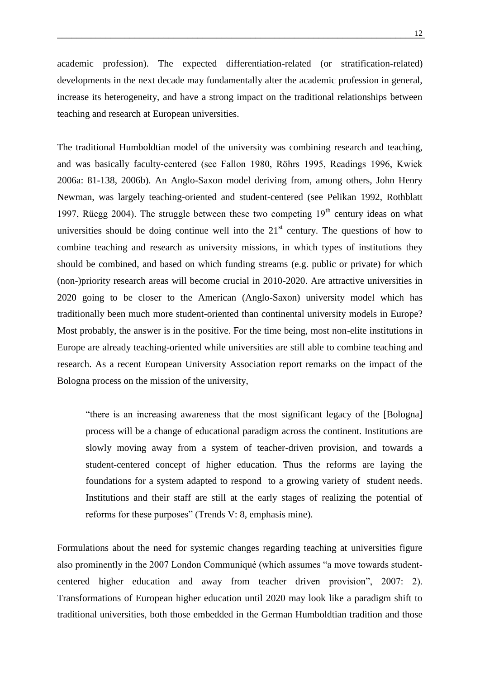academic profession). The expected differentiation-related (or stratification-related) developments in the next decade may fundamentally alter the academic profession in general, increase its heterogeneity, and have a strong impact on the traditional relationships between teaching and research at European universities.

The traditional Humboldtian model of the university was combining research and teaching, and was basically faculty-centered (see Fallon 1980, Röhrs 1995, Readings 1996, Kwiek 2006a: 81-138, 2006b). An Anglo-Saxon model deriving from, among others, John Henry Newman, was largely teaching-oriented and student-centered (see Pelikan 1992, Rothblatt 1997, Rüegg 2004). The struggle between these two competing  $19<sup>th</sup>$  century ideas on what universities should be doing continue well into the  $21<sup>st</sup>$  century. The questions of how to combine teaching and research as university missions, in which types of institutions they should be combined, and based on which funding streams (e.g. public or private) for which (non-)priority research areas will become crucial in 2010-2020. Are attractive universities in 2020 going to be closer to the American (Anglo-Saxon) university model which has traditionally been much more student-oriented than continental university models in Europe? Most probably, the answer is in the positive. For the time being, most non-elite institutions in Europe are already teaching-oriented while universities are still able to combine teaching and research. As a recent European University Association report remarks on the impact of the Bologna process on the mission of the university,

"there is an increasing awareness that the most significant legacy of the [Bologna] process will be a change of educational paradigm across the continent. Institutions are slowly moving away from a system of teacher-driven provision, and towards a student-centered concept of higher education. Thus the reforms are laying the foundations for a system adapted to respond to a growing variety of student needs. Institutions and their staff are still at the early stages of realizing the potential of reforms for these purposes" (Trends V: 8, emphasis mine).

Formulations about the need for systemic changes regarding teaching at universities figure also prominently in the 2007 London Communiqué (which assumes "a move towards studentcentered higher education and away from teacher driven provision", 2007: 2). Transformations of European higher education until 2020 may look like a paradigm shift to traditional universities, both those embedded in the German Humboldtian tradition and those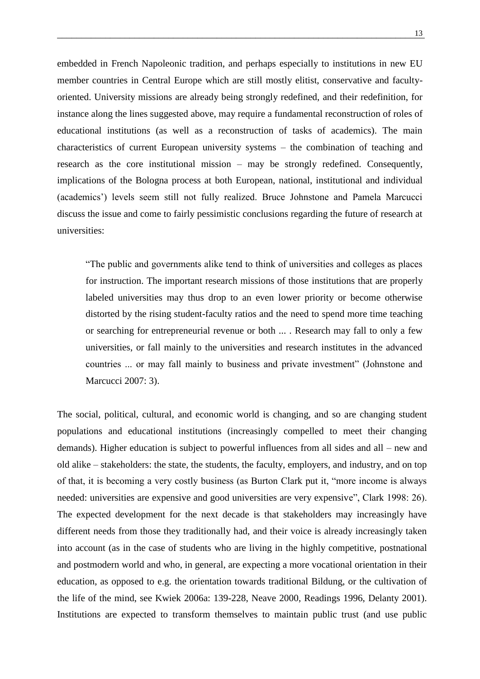embedded in French Napoleonic tradition, and perhaps especially to institutions in new EU member countries in Central Europe which are still mostly elitist, conservative and facultyoriented. University missions are already being strongly redefined, and their redefinition, for instance along the lines suggested above, may require a fundamental reconstruction of roles of educational institutions (as well as a reconstruction of tasks of academics). The main characteristics of current European university systems – the combination of teaching and research as the core institutional mission – may be strongly redefined. Consequently, implications of the Bologna process at both European, national, institutional and individual (academics") levels seem still not fully realized. Bruce Johnstone and Pamela Marcucci discuss the issue and come to fairly pessimistic conclusions regarding the future of research at universities:

"The public and governments alike tend to think of universities and colleges as places for instruction. The important research missions of those institutions that are properly labeled universities may thus drop to an even lower priority or become otherwise distorted by the rising student-faculty ratios and the need to spend more time teaching or searching for entrepreneurial revenue or both ... . Research may fall to only a few universities, or fall mainly to the universities and research institutes in the advanced countries ... or may fall mainly to business and private investment" (Johnstone and Marcucci 2007: 3).

The social, political, cultural, and economic world is changing, and so are changing student populations and educational institutions (increasingly compelled to meet their changing demands). Higher education is subject to powerful influences from all sides and all – new and old alike – stakeholders: the state, the students, the faculty, employers, and industry, and on top of that, it is becoming a very costly business (as Burton Clark put it, "more income is always needed: universities are expensive and good universities are very expensive", Clark 1998: 26). The expected development for the next decade is that stakeholders may increasingly have different needs from those they traditionally had, and their voice is already increasingly taken into account (as in the case of students who are living in the highly competitive, postnational and postmodern world and who, in general, are expecting a more vocational orientation in their education, as opposed to e.g. the orientation towards traditional Bildung, or the cultivation of the life of the mind, see Kwiek 2006a: 139-228, Neave 2000, Readings 1996, Delanty 2001). Institutions are expected to transform themselves to maintain public trust (and use public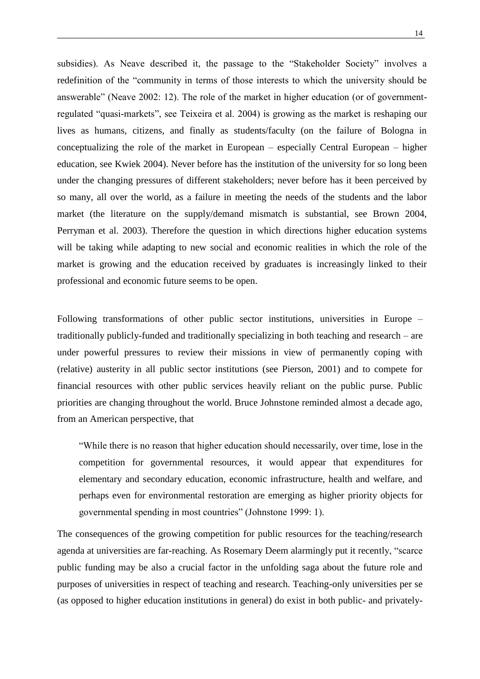subsidies). As Neave described it, the passage to the "Stakeholder Society" involves a redefinition of the "community in terms of those interests to which the university should be answerable" (Neave 2002: 12). The role of the market in higher education (or of governmentregulated "quasi-markets", see Teixeira et al. 2004) is growing as the market is reshaping our lives as humans, citizens, and finally as students/faculty (on the failure of Bologna in conceptualizing the role of the market in European – especially Central European – higher education, see Kwiek 2004). Never before has the institution of the university for so long been under the changing pressures of different stakeholders; never before has it been perceived by so many, all over the world, as a failure in meeting the needs of the students and the labor market (the literature on the supply/demand mismatch is substantial, see Brown 2004, Perryman et al. 2003). Therefore the question in which directions higher education systems will be taking while adapting to new social and economic realities in which the role of the market is growing and the education received by graduates is increasingly linked to their professional and economic future seems to be open.

Following transformations of other public sector institutions, universities in Europe – traditionally publicly-funded and traditionally specializing in both teaching and research – are under powerful pressures to review their missions in view of permanently coping with (relative) austerity in all public sector institutions (see Pierson, 2001) and to compete for financial resources with other public services heavily reliant on the public purse. Public priorities are changing throughout the world. Bruce Johnstone reminded almost a decade ago, from an American perspective, that

"While there is no reason that higher education should necessarily, over time, lose in the competition for governmental resources, it would appear that expenditures for elementary and secondary education, economic infrastructure, health and welfare, and perhaps even for environmental restoration are emerging as higher priority objects for governmental spending in most countries" (Johnstone 1999: 1).

The consequences of the growing competition for public resources for the teaching/research agenda at universities are far-reaching. As Rosemary Deem alarmingly put it recently, "scarce public funding may be also a crucial factor in the unfolding saga about the future role and purposes of universities in respect of teaching and research. Teaching-only universities per se (as opposed to higher education institutions in general) do exist in both public- and privately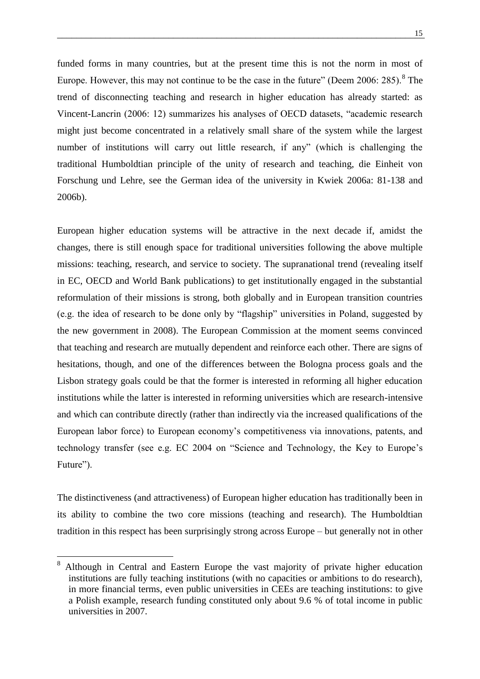funded forms in many countries, but at the present time this is not the norm in most of Europe. However, this may not continue to be the case in the future" (Deem 2006: 285). <sup>8</sup> The trend of disconnecting teaching and research in higher education has already started: as Vincent-Lancrin (2006: 12) summarizes his analyses of OECD datasets, "academic research might just become concentrated in a relatively small share of the system while the largest number of institutions will carry out little research, if any" (which is challenging the traditional Humboldtian principle of the unity of research and teaching, die Einheit von Forschung und Lehre, see the German idea of the university in Kwiek 2006a: 81-138 and 2006b).

European higher education systems will be attractive in the next decade if, amidst the changes, there is still enough space for traditional universities following the above multiple missions: teaching, research, and service to society. The supranational trend (revealing itself in EC, OECD and World Bank publications) to get institutionally engaged in the substantial reformulation of their missions is strong, both globally and in European transition countries (e.g. the idea of research to be done only by "flagship" universities in Poland, suggested by the new government in 2008). The European Commission at the moment seems convinced that teaching and research are mutually dependent and reinforce each other. There are signs of hesitations, though, and one of the differences between the Bologna process goals and the Lisbon strategy goals could be that the former is interested in reforming all higher education institutions while the latter is interested in reforming universities which are research-intensive and which can contribute directly (rather than indirectly via the increased qualifications of the European labor force) to European economy's competitiveness via innovations, patents, and technology transfer (see e.g. EC 2004 on "Science and Technology, the Key to Europe"s Future").

The distinctiveness (and attractiveness) of European higher education has traditionally been in its ability to combine the two core missions (teaching and research). The Humboldtian tradition in this respect has been surprisingly strong across Europe – but generally not in other

<sup>8</sup> Although in Central and Eastern Europe the vast majority of private higher education institutions are fully teaching institutions (with no capacities or ambitions to do research), in more financial terms, even public universities in CEEs are teaching institutions: to give a Polish example, research funding constituted only about 9.6 % of total income in public universities in 2007.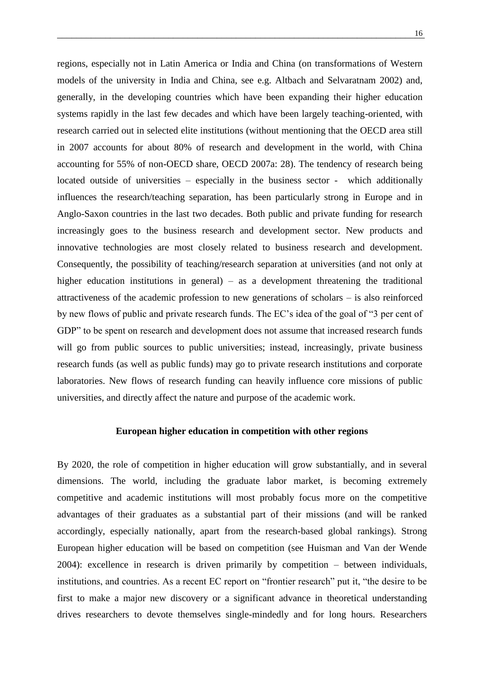regions, especially not in Latin America or India and China (on transformations of Western models of the university in India and China, see e.g. Altbach and Selvaratnam 2002) and, generally, in the developing countries which have been expanding their higher education systems rapidly in the last few decades and which have been largely teaching-oriented, with research carried out in selected elite institutions (without mentioning that the OECD area still in 2007 accounts for about 80% of research and development in the world, with China accounting for 55% of non-OECD share, OECD 2007a: 28). The tendency of research being located outside of universities – especially in the business sector - which additionally influences the research/teaching separation, has been particularly strong in Europe and in Anglo-Saxon countries in the last two decades. Both public and private funding for research increasingly goes to the business research and development sector. New products and innovative technologies are most closely related to business research and development. Consequently, the possibility of teaching/research separation at universities (and not only at higher education institutions in general) – as a development threatening the traditional attractiveness of the academic profession to new generations of scholars – is also reinforced by new flows of public and private research funds. The EC"s idea of the goal of "3 per cent of GDP" to be spent on research and development does not assume that increased research funds will go from public sources to public universities; instead, increasingly, private business

research funds (as well as public funds) may go to private research institutions and corporate laboratories. New flows of research funding can heavily influence core missions of public universities, and directly affect the nature and purpose of the academic work.

#### **European higher education in competition with other regions**

By 2020, the role of competition in higher education will grow substantially, and in several dimensions. The world, including the graduate labor market, is becoming extremely competitive and academic institutions will most probably focus more on the competitive advantages of their graduates as a substantial part of their missions (and will be ranked accordingly, especially nationally, apart from the research-based global rankings). Strong European higher education will be based on competition (see Huisman and Van der Wende 2004): excellence in research is driven primarily by competition – between individuals, institutions, and countries. As a recent EC report on "frontier research" put it, "the desire to be first to make a major new discovery or a significant advance in theoretical understanding drives researchers to devote themselves single-mindedly and for long hours. Researchers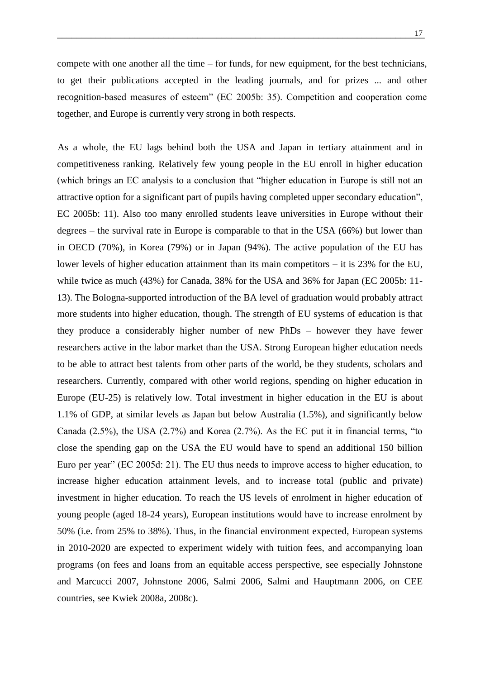compete with one another all the time – for funds, for new equipment, for the best technicians, to get their publications accepted in the leading journals, and for prizes ... and other recognition-based measures of esteem" (EC 2005b: 35). Competition and cooperation come together, and Europe is currently very strong in both respects.

As a whole, the EU lags behind both the USA and Japan in tertiary attainment and in competitiveness ranking. Relatively few young people in the EU enroll in higher education (which brings an EC analysis to a conclusion that "higher education in Europe is still not an attractive option for a significant part of pupils having completed upper secondary education", EC 2005b: 11). Also too many enrolled students leave universities in Europe without their degrees – the survival rate in Europe is comparable to that in the USA (66%) but lower than in OECD (70%), in Korea (79%) or in Japan (94%). The active population of the EU has lower levels of higher education attainment than its main competitors – it is 23% for the EU, while twice as much (43%) for Canada, 38% for the USA and 36% for Japan (EC 2005b: 11- 13). The Bologna-supported introduction of the BA level of graduation would probably attract more students into higher education, though. The strength of EU systems of education is that they produce a considerably higher number of new PhDs – however they have fewer researchers active in the labor market than the USA. Strong European higher education needs to be able to attract best talents from other parts of the world, be they students, scholars and researchers. Currently, compared with other world regions, spending on higher education in Europe (EU-25) is relatively low. Total investment in higher education in the EU is about 1.1% of GDP, at similar levels as Japan but below Australia (1.5%), and significantly below Canada (2.5%), the USA (2.7%) and Korea (2.7%). As the EC put it in financial terms, "to close the spending gap on the USA the EU would have to spend an additional 150 billion Euro per year" (EC 2005d: 21). The EU thus needs to improve access to higher education, to increase higher education attainment levels, and to increase total (public and private) investment in higher education. To reach the US levels of enrolment in higher education of young people (aged 18-24 years), European institutions would have to increase enrolment by 50% (i.e. from 25% to 38%). Thus, in the financial environment expected, European systems in 2010-2020 are expected to experiment widely with tuition fees, and accompanying loan programs (on fees and loans from an equitable access perspective, see especially Johnstone and Marcucci 2007, Johnstone 2006, Salmi 2006, Salmi and Hauptmann 2006, on CEE countries, see Kwiek 2008a, 2008c).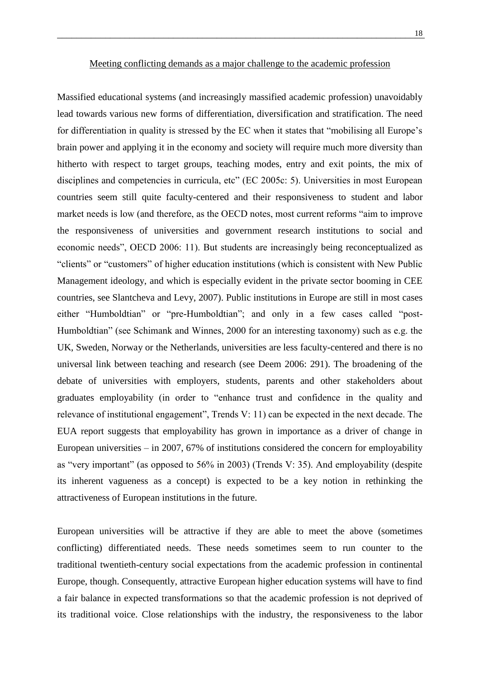#### Meeting conflicting demands as a major challenge to the academic profession

Massified educational systems (and increasingly massified academic profession) unavoidably lead towards various new forms of differentiation, diversification and stratification. The need for differentiation in quality is stressed by the EC when it states that "mobilising all Europe"s brain power and applying it in the economy and society will require much more diversity than hitherto with respect to target groups, teaching modes, entry and exit points, the mix of disciplines and competencies in curricula, etc" (EC 2005c: 5). Universities in most European countries seem still quite faculty-centered and their responsiveness to student and labor market needs is low (and therefore, as the OECD notes, most current reforms "aim to improve the responsiveness of universities and government research institutions to social and economic needs", OECD 2006: 11). But students are increasingly being reconceptualized as "clients" or "customers" of higher education institutions (which is consistent with New Public Management ideology, and which is especially evident in the private sector booming in CEE countries, see Slantcheva and Levy, 2007). Public institutions in Europe are still in most cases either "Humboldtian" or "pre-Humboldtian"; and only in a few cases called "post-Humboldtian" (see Schimank and Winnes, 2000 for an interesting taxonomy) such as e.g. the UK, Sweden, Norway or the Netherlands, universities are less faculty-centered and there is no universal link between teaching and research (see Deem 2006: 291). The broadening of the debate of universities with employers, students, parents and other stakeholders about graduates employability (in order to "enhance trust and confidence in the quality and relevance of institutional engagement", Trends V: 11) can be expected in the next decade. The EUA report suggests that employability has grown in importance as a driver of change in European universities – in 2007, 67% of institutions considered the concern for employability as "very important" (as opposed to 56% in 2003) (Trends V: 35). And employability (despite its inherent vagueness as a concept) is expected to be a key notion in rethinking the attractiveness of European institutions in the future.

European universities will be attractive if they are able to meet the above (sometimes conflicting) differentiated needs. These needs sometimes seem to run counter to the traditional twentieth-century social expectations from the academic profession in continental Europe, though. Consequently, attractive European higher education systems will have to find a fair balance in expected transformations so that the academic profession is not deprived of its traditional voice. Close relationships with the industry, the responsiveness to the labor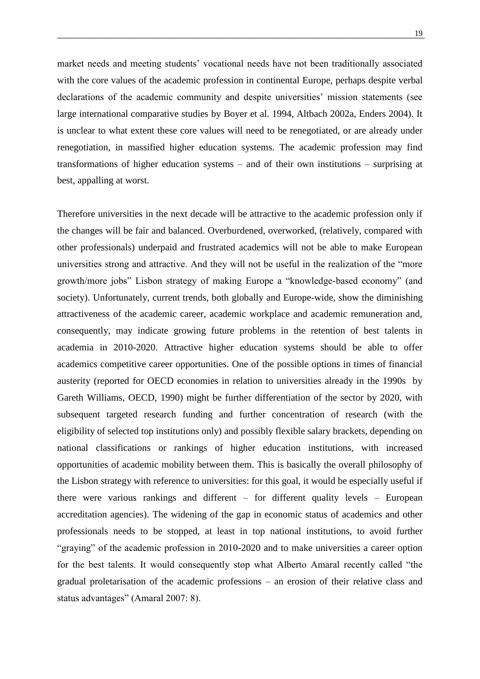market needs and meeting students' vocational needs have not been traditionally associated with the core values of the academic profession in continental Europe, perhaps despite verbal declarations of the academic community and despite universities' mission statements (see large international comparative studies by Boyer et al. 1994, Altbach 2002a, Enders 2004). It is unclear to what extent these core values will need to be renegotiated, or are already under renegotiation, in massified higher education systems. The academic profession may find transformations of higher education systems – and of their own institutions – surprising at best, appalling at worst.

Therefore universities in the next decade will be attractive to the academic profession only if the changes will be fair and balanced. Overburdened, overworked, (relatively, compared with other professionals) underpaid and frustrated academics will not be able to make European universities strong and attractive. And they will not be useful in the realization of the "more growth/more jobs" Lisbon strategy of making Europe a "knowledge-based economy" (and society). Unfortunately, current trends, both globally and Europe-wide, show the diminishing attractiveness of the academic career, academic workplace and academic remuneration and, consequently, may indicate growing future problems in the retention of best talents in academia in 2010-2020. Attractive higher education systems should be able to offer academics competitive career opportunities. One of the possible options in times of financial austerity (reported for OECD economies in relation to universities already in the 1990s by Gareth Williams, OECD, 1990) might be further differentiation of the sector by 2020, with subsequent targeted research funding and further concentration of research (with the eligibility of selected top institutions only) and possibly flexible salary brackets, depending on national classifications or rankings of higher education institutions, with increased opportunities of academic mobility between them. This is basically the overall philosophy of the Lisbon strategy with reference to universities: for this goal, it would be especially useful if there were various rankings and different – for different quality levels – European accreditation agencies). The widening of the gap in economic status of academics and other professionals needs to be stopped, at least in top national institutions, to avoid further "graying" of the academic profession in 2010-2020 and to make universities a career option for the best talents. It would consequently stop what Alberto Amaral recently called "the gradual proletarisation of the academic professions – an erosion of their relative class and status advantages" (Amaral 2007: 8).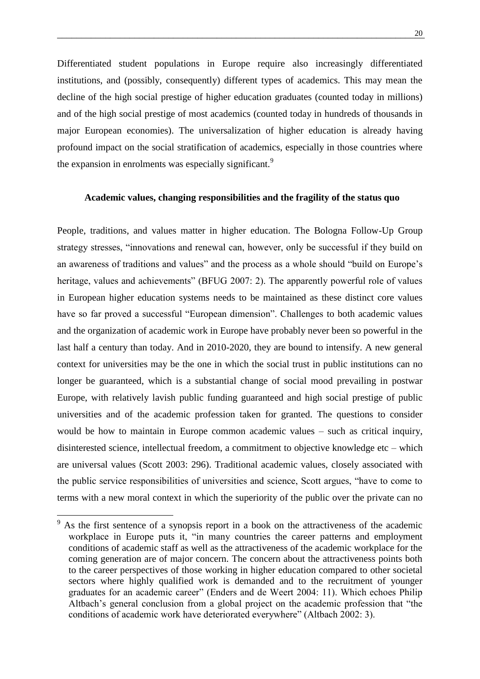Differentiated student populations in Europe require also increasingly differentiated institutions, and (possibly, consequently) different types of academics. This may mean the decline of the high social prestige of higher education graduates (counted today in millions) and of the high social prestige of most academics (counted today in hundreds of thousands in major European economies). The universalization of higher education is already having profound impact on the social stratification of academics, especially in those countries where the expansion in enrolments was especially significant.<sup>9</sup>

#### **Academic values, changing responsibilities and the fragility of the status quo**

People, traditions, and values matter in higher education. The Bologna Follow-Up Group strategy stresses, "innovations and renewal can, however, only be successful if they build on an awareness of traditions and values" and the process as a whole should "build on Europe"s heritage, values and achievements" (BFUG 2007: 2). The apparently powerful role of values in European higher education systems needs to be maintained as these distinct core values have so far proved a successful "European dimension". Challenges to both academic values and the organization of academic work in Europe have probably never been so powerful in the last half a century than today. And in 2010-2020, they are bound to intensify. A new general context for universities may be the one in which the social trust in public institutions can no longer be guaranteed, which is a substantial change of social mood prevailing in postwar Europe, with relatively lavish public funding guaranteed and high social prestige of public universities and of the academic profession taken for granted. The questions to consider would be how to maintain in Europe common academic values – such as critical inquiry, disinterested science, intellectual freedom, a commitment to objective knowledge etc – which are universal values (Scott 2003: 296). Traditional academic values, closely associated with the public service responsibilities of universities and science, Scott argues, "have to come to terms with a new moral context in which the superiority of the public over the private can no

As the first sentence of a synopsis report in a book on the attractiveness of the academic workplace in Europe puts it, "in many countries the career patterns and employment conditions of academic staff as well as the attractiveness of the academic workplace for the coming generation are of major concern. The concern about the attractiveness points both to the career perspectives of those working in higher education compared to other societal sectors where highly qualified work is demanded and to the recruitment of younger graduates for an academic career" (Enders and de Weert 2004: 11). Which echoes Philip Altbach"s general conclusion from a global project on the academic profession that "the conditions of academic work have deteriorated everywhere" (Altbach 2002: 3).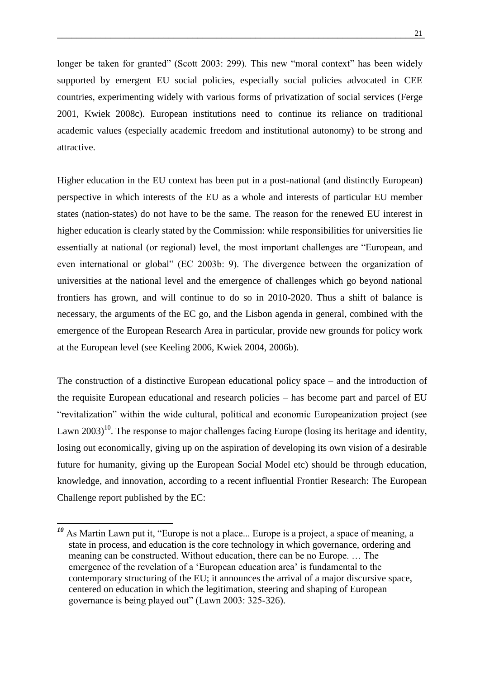longer be taken for granted" (Scott 2003: 299). This new "moral context" has been widely supported by emergent EU social policies, especially social policies advocated in CEE countries, experimenting widely with various forms of privatization of social services (Ferge 2001, Kwiek 2008c). European institutions need to continue its reliance on traditional academic values (especially academic freedom and institutional autonomy) to be strong and attractive.

Higher education in the EU context has been put in a post-national (and distinctly European) perspective in which interests of the EU as a whole and interests of particular EU member states (nation-states) do not have to be the same. The reason for the renewed EU interest in higher education is clearly stated by the Commission: while responsibilities for universities lie essentially at national (or regional) level, the most important challenges are "European, and even international or global" (EC 2003b: 9). The divergence between the organization of universities at the national level and the emergence of challenges which go beyond national frontiers has grown, and will continue to do so in 2010-2020. Thus a shift of balance is necessary, the arguments of the EC go, and the Lisbon agenda in general, combined with the emergence of the European Research Area in particular, provide new grounds for policy work at the European level (see Keeling 2006, Kwiek 2004, 2006b).

The construction of a distinctive European educational policy space – and the introduction of the requisite European educational and research policies – has become part and parcel of EU "revitalization" within the wide cultural, political and economic Europeanization project (see Lawn  $2003$ <sup>10</sup>. The response to major challenges facing Europe (losing its heritage and identity, losing out economically, giving up on the aspiration of developing its own vision of a desirable future for humanity, giving up the European Social Model etc) should be through education, knowledge, and innovation, according to a recent influential Frontier Research: The European Challenge report published by the EC:

*<sup>10</sup>* As Martin Lawn put it, "Europe is not a place... Europe is a project, a space of meaning, a state in process, and education is the core technology in which governance, ordering and meaning can be constructed. Without education, there can be no Europe. … The emergence of the revelation of a 'European education area' is fundamental to the contemporary structuring of the EU; it announces the arrival of a major discursive space, centered on education in which the legitimation, steering and shaping of European governance is being played out" (Lawn 2003: 325-326).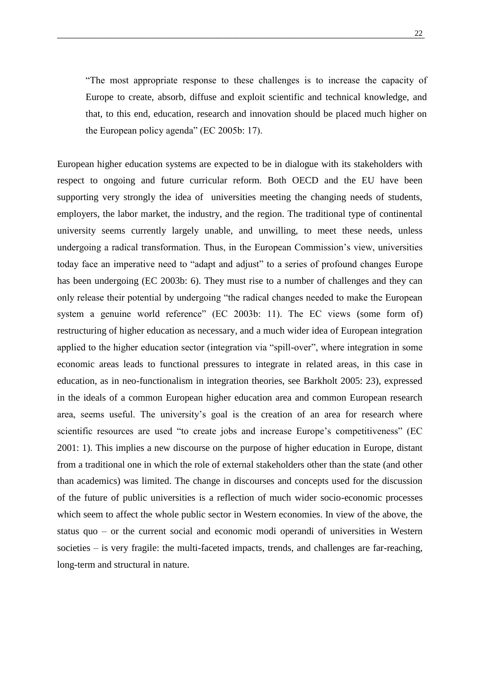"The most appropriate response to these challenges is to increase the capacity of Europe to create, absorb, diffuse and exploit scientific and technical knowledge, and that, to this end, education, research and innovation should be placed much higher on the European policy agenda" (EC 2005b: 17).

European higher education systems are expected to be in dialogue with its stakeholders with respect to ongoing and future curricular reform. Both OECD and the EU have been supporting very strongly the idea of universities meeting the changing needs of students, employers, the labor market, the industry, and the region. The traditional type of continental university seems currently largely unable, and unwilling, to meet these needs, unless undergoing a radical transformation. Thus, in the European Commission's view, universities today face an imperative need to "adapt and adjust" to a series of profound changes Europe has been undergoing (EC 2003b: 6). They must rise to a number of challenges and they can only release their potential by undergoing "the radical changes needed to make the European system a genuine world reference" (EC 2003b: 11). The EC views (some form of) restructuring of higher education as necessary, and a much wider idea of European integration applied to the higher education sector (integration via "spill-over", where integration in some economic areas leads to functional pressures to integrate in related areas, in this case in education, as in neo-functionalism in integration theories, see Barkholt 2005: 23), expressed in the ideals of a common European higher education area and common European research area, seems useful. The university's goal is the creation of an area for research where scientific resources are used "to create jobs and increase Europe's competitiveness" (EC 2001: 1). This implies a new discourse on the purpose of higher education in Europe, distant from a traditional one in which the role of external stakeholders other than the state (and other than academics) was limited. The change in discourses and concepts used for the discussion of the future of public universities is a reflection of much wider socio-economic processes which seem to affect the whole public sector in Western economies. In view of the above, the status quo – or the current social and economic modi operandi of universities in Western societies – is very fragile: the multi-faceted impacts, trends, and challenges are far-reaching, long-term and structural in nature.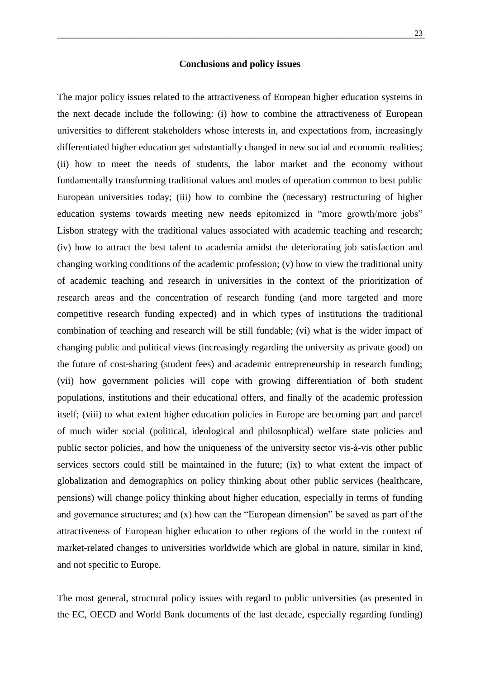#### **Conclusions and policy issues**

The major policy issues related to the attractiveness of European higher education systems in the next decade include the following: (i) how to combine the attractiveness of European universities to different stakeholders whose interests in, and expectations from, increasingly differentiated higher education get substantially changed in new social and economic realities; (ii) how to meet the needs of students, the labor market and the economy without fundamentally transforming traditional values and modes of operation common to best public European universities today; (iii) how to combine the (necessary) restructuring of higher education systems towards meeting new needs epitomized in "more growth/more jobs" Lisbon strategy with the traditional values associated with academic teaching and research; (iv) how to attract the best talent to academia amidst the deteriorating job satisfaction and changing working conditions of the academic profession; (v) how to view the traditional unity of academic teaching and research in universities in the context of the prioritization of research areas and the concentration of research funding (and more targeted and more competitive research funding expected) and in which types of institutions the traditional combination of teaching and research will be still fundable; (vi) what is the wider impact of changing public and political views (increasingly regarding the university as private good) on the future of cost-sharing (student fees) and academic entrepreneurship in research funding; (vii) how government policies will cope with growing differentiation of both student populations, institutions and their educational offers, and finally of the academic profession itself; (viii) to what extent higher education policies in Europe are becoming part and parcel of much wider social (political, ideological and philosophical) welfare state policies and public sector policies, and how the uniqueness of the university sector vis-à-vis other public services sectors could still be maintained in the future; (ix) to what extent the impact of globalization and demographics on policy thinking about other public services (healthcare, pensions) will change policy thinking about higher education, especially in terms of funding and governance structures; and (x) how can the "European dimension" be saved as part of the attractiveness of European higher education to other regions of the world in the context of market-related changes to universities worldwide which are global in nature, similar in kind, and not specific to Europe.

The most general, structural policy issues with regard to public universities (as presented in the EC, OECD and World Bank documents of the last decade, especially regarding funding)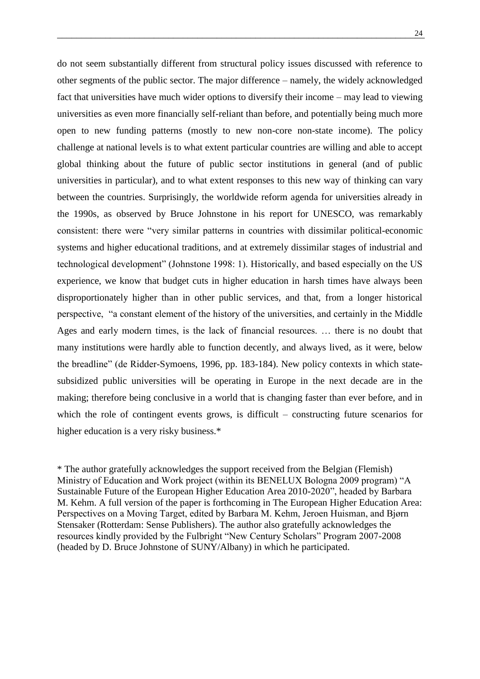do not seem substantially different from structural policy issues discussed with reference to other segments of the public sector. The major difference – namely, the widely acknowledged fact that universities have much wider options to diversify their income – may lead to viewing universities as even more financially self-reliant than before, and potentially being much more open to new funding patterns (mostly to new non-core non-state income). The policy challenge at national levels is to what extent particular countries are willing and able to accept global thinking about the future of public sector institutions in general (and of public universities in particular), and to what extent responses to this new way of thinking can vary between the countries. Surprisingly, the worldwide reform agenda for universities already in the 1990s, as observed by Bruce Johnstone in his report for UNESCO, was remarkably consistent: there were "very similar patterns in countries with dissimilar political-economic systems and higher educational traditions, and at extremely dissimilar stages of industrial and technological development" (Johnstone 1998: 1). Historically, and based especially on the US experience, we know that budget cuts in higher education in harsh times have always been disproportionately higher than in other public services, and that, from a longer historical perspective, "a constant element of the history of the universities, and certainly in the Middle Ages and early modern times, is the lack of financial resources. … there is no doubt that many institutions were hardly able to function decently, and always lived, as it were, below the breadline" (de Ridder-Symoens, 1996, pp. 183-184). New policy contexts in which statesubsidized public universities will be operating in Europe in the next decade are in the making; therefore being conclusive in a world that is changing faster than ever before, and in which the role of contingent events grows, is difficult – constructing future scenarios for higher education is a very risky business.<sup>\*</sup>

\* The author gratefully acknowledges the support received from the Belgian (Flemish) Ministry of Education and Work project (within its BENELUX Bologna 2009 program) "A Sustainable Future of the European Higher Education Area 2010-2020", headed by Barbara M. Kehm. A full version of the paper is forthcoming in The European Higher Education Area: Perspectives on a Moving Target, edited by Barbara M. Kehm, Jeroen Huisman, and Bjørn Stensaker (Rotterdam: Sense Publishers). The author also gratefully acknowledges the resources kindly provided by the Fulbright "New Century Scholars" Program 2007-2008 (headed by D. Bruce Johnstone of SUNY/Albany) in which he participated.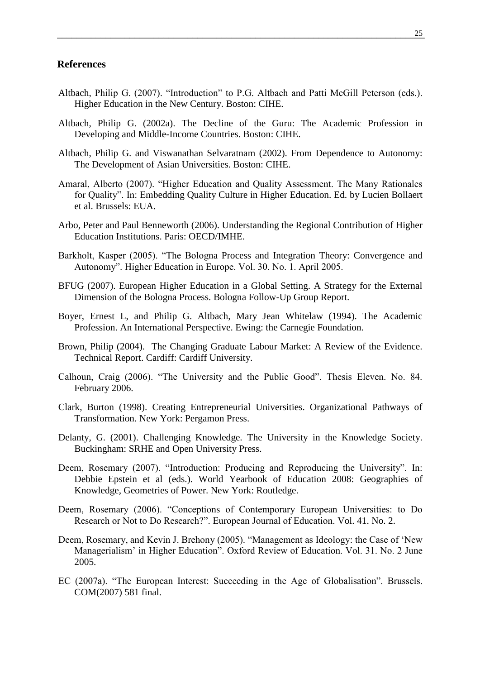### **References**

- Altbach, Philip G. (2007). "Introduction" to P.G. Altbach and Patti McGill Peterson (eds.). Higher Education in the New Century. Boston: CIHE.
- Altbach, Philip G. (2002a). The Decline of the Guru: The Academic Profession in Developing and Middle-Income Countries. Boston: CIHE.
- Altbach, Philip G. and Viswanathan Selvaratnam (2002). From Dependence to Autonomy: The Development of Asian Universities. Boston: CIHE.
- Amaral, Alberto (2007). "Higher Education and Quality Assessment. The Many Rationales for Quality". In: Embedding Quality Culture in Higher Education. Ed. by Lucien Bollaert et al. Brussels: EUA.
- Arbo, Peter and Paul Benneworth (2006). Understanding the Regional Contribution of Higher Education Institutions. Paris: OECD/IMHE.
- Barkholt, Kasper (2005). "The Bologna Process and Integration Theory: Convergence and Autonomy". Higher Education in Europe. Vol. 30. No. 1. April 2005.
- BFUG (2007). European Higher Education in a Global Setting. A Strategy for the External Dimension of the Bologna Process. Bologna Follow-Up Group Report.
- Boyer, Ernest L, and Philip G. Altbach, Mary Jean Whitelaw (1994). The Academic Profession. An International Perspective. Ewing: the Carnegie Foundation.
- Brown, Philip (2004). The Changing Graduate Labour Market: A Review of the Evidence. Technical Report. Cardiff: Cardiff University.
- Calhoun, Craig (2006). "The University and the Public Good". Thesis Eleven. No. 84. February 2006.
- Clark, Burton (1998). Creating Entrepreneurial Universities. Organizational Pathways of Transformation. New York: Pergamon Press.
- Delanty, G. (2001). Challenging Knowledge. The University in the Knowledge Society. Buckingham: SRHE and Open University Press.
- Deem, Rosemary (2007). "Introduction: Producing and Reproducing the University". In: Debbie Epstein et al (eds.). World Yearbook of Education 2008: Geographies of Knowledge, Geometries of Power. New York: Routledge.
- Deem, Rosemary (2006). "Conceptions of Contemporary European Universities: to Do Research or Not to Do Research?". European Journal of Education. Vol. 41. No. 2.
- Deem, Rosemary, and Kevin J. Brehony (2005). "Management as Ideology: the Case of "New Managerialism" in Higher Education". Oxford Review of Education. Vol. 31. No. 2 June 2005.
- EC (2007a). "The European Interest: Succeeding in the Age of Globalisation". Brussels. COM(2007) 581 final.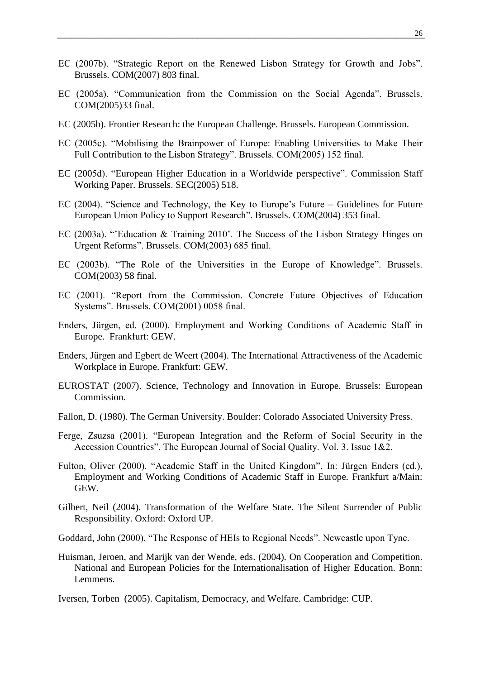- EC (2007b). "Strategic Report on the Renewed Lisbon Strategy for Growth and Jobs". Brussels. COM(2007) 803 final.
- EC (2005a). "Communication from the Commission on the Social Agenda". Brussels. COM(2005)33 final.
- EC (2005b). Frontier Research: the European Challenge. Brussels. European Commission.
- EC (2005c). "Mobilising the Brainpower of Europe: Enabling Universities to Make Their Full Contribution to the Lisbon Strategy". Brussels. COM(2005) 152 final.
- EC (2005d). "European Higher Education in a Worldwide perspective". Commission Staff Working Paper. Brussels. SEC(2005) 518.
- EC (2004). "Science and Technology, the Key to Europe's Future Guidelines for Future European Union Policy to Support Research". Brussels. COM(2004) 353 final.
- EC (2003a). ""Education & Training 2010". The Success of the Lisbon Strategy Hinges on Urgent Reforms". Brussels. COM(2003) 685 final.
- EC (2003b). "The Role of the Universities in the Europe of Knowledge". Brussels. COM(2003) 58 final.
- EC (2001). "Report from the Commission. Concrete Future Objectives of Education Systems". Brussels. COM(2001) 0058 final.
- Enders, Jürgen, ed. (2000). Employment and Working Conditions of Academic Staff in Europe. Frankfurt: GEW.
- Enders, Jürgen and Egbert de Weert (2004). The International Attractiveness of the Academic Workplace in Europe. Frankfurt: GEW.
- EUROSTAT (2007). Science, Technology and Innovation in Europe. Brussels: European Commission.
- Fallon, D. (1980). The German University. Boulder: Colorado Associated University Press.
- Ferge, Zsuzsa (2001). "European Integration and the Reform of Social Security in the Accession Countries". The European Journal of Social Quality. Vol. 3. Issue 1&2.
- Fulton, Oliver (2000). "Academic Staff in the United Kingdom". In: Jürgen Enders (ed.), Employment and Working Conditions of Academic Staff in Europe. Frankfurt a/Main: GEW.
- Gilbert, Neil (2004). Transformation of the Welfare State. The Silent Surrender of Public Responsibility. Oxford: Oxford UP.
- Goddard, John (2000). "The Response of HEIs to Regional Needs". Newcastle upon Tyne.
- Huisman, Jeroen, and Marijk van der Wende, eds. (2004). On Cooperation and Competition. National and European Policies for the Internationalisation of Higher Education. Bonn: Lemmens.
- Iversen, Torben (2005). Capitalism, Democracy, and Welfare. Cambridge: CUP.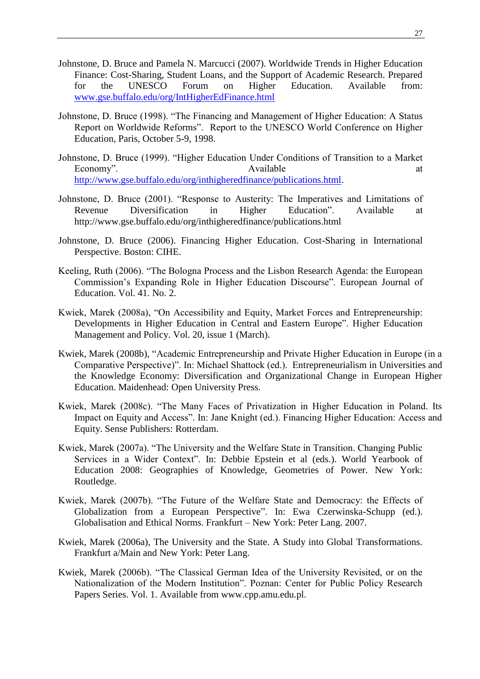- Johnstone, D. Bruce and Pamela N. Marcucci (2007). Worldwide Trends in Higher Education Finance: Cost-Sharing, Student Loans, and the Support of Academic Research. Prepared for the UNESCO Forum on Higher Education. Available from: [www.gse.buffalo.edu/org/IntHigherEdFinance.html](http://www.gse.buffalo.edu/org/IntHigherEdFinance.html)
- Johnstone, D. Bruce (1998). "The Financing and Management of Higher Education: A Status Report on Worldwide Reforms". Report to the UNESCO World Conference on Higher Education, Paris, October 5-9, 1998.
- Johnstone, D. Bruce (1999). "Higher Education Under Conditions of Transition to a Market Economy". Available at a state of the state at a state at a state at a state at a state at a state at a state at a state at a state at a state at a state at a state at a state at a state at a state at a state at a state at [http://www.gse.buffalo.edu/org/inthigheredfinance/publications.html.](http://www.gse.buffalo.edu/org/inthigheredfinance/publications.html)
- Johnstone, D. Bruce (2001). "Response to Austerity: The Imperatives and Limitations of Revenue Diversification in Higher Education". Available at http://www.gse.buffalo.edu/org/inthigheredfinance/publications.html
- Johnstone, D. Bruce (2006). Financing Higher Education. Cost-Sharing in International Perspective. Boston: CIHE.
- Keeling, Ruth (2006). "The Bologna Process and the Lisbon Research Agenda: the European Commission"s Expanding Role in Higher Education Discourse". European Journal of Education. Vol. 41. No. 2.
- Kwiek, Marek (2008a), "On Accessibility and Equity, Market Forces and Entrepreneurship: Developments in Higher Education in Central and Eastern Europe". Higher Education Management and Policy. Vol. 20, issue 1 (March).
- Kwiek, Marek (2008b), "Academic Entrepreneurship and Private Higher Education in Europe (in a Comparative Perspective)". In: Michael Shattock (ed.). Entrepreneurialism in Universities and the Knowledge Economy: Diversification and Organizational Change in European Higher Education. Maidenhead: Open University Press.
- Kwiek, Marek (2008c). "The Many Faces of Privatization in Higher Education in Poland. Its Impact on Equity and Access". In: Jane Knight (ed.). Financing Higher Education: Access and Equity. Sense Publishers: Rotterdam.
- Kwiek, Marek (2007a). "The University and the Welfare State in Transition. Changing Public Services in a Wider Context". In: Debbie Epstein et al (eds.). World Yearbook of Education 2008: Geographies of Knowledge, Geometries of Power. New York: Routledge.
- Kwiek, Marek (2007b). "The Future of the Welfare State and Democracy: the Effects of Globalization from a European Perspective". In: Ewa Czerwinska-Schupp (ed.). Globalisation and Ethical Norms. Frankfurt – New York: Peter Lang. 2007.
- Kwiek, Marek (2006a), The University and the State. A Study into Global Transformations. Frankfurt a/Main and New York: Peter Lang.
- Kwiek, Marek (2006b). "The Classical German Idea of the University Revisited, or on the Nationalization of the Modern Institution". Poznan: Center for Public Policy Research Papers Series. Vol. 1. Available from www.cpp.amu.edu.pl.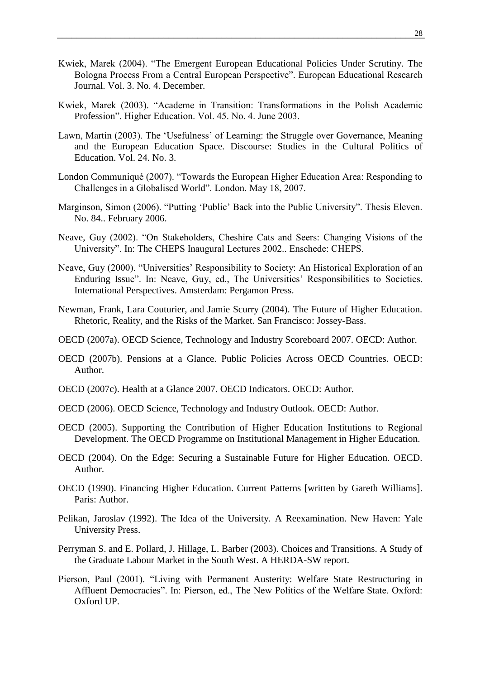- Kwiek, Marek (2004). "The Emergent European Educational Policies Under Scrutiny. The Bologna Process From a Central European Perspective". European Educational Research Journal. Vol. 3. No. 4. December.
- Kwiek, Marek (2003). "Academe in Transition: Transformations in the Polish Academic Profession". Higher Education. Vol. 45. No. 4. June 2003.
- Lawn, Martin (2003). The 'Usefulness' of Learning: the Struggle over Governance, Meaning and the European Education Space. Discourse: Studies in the Cultural Politics of Education. Vol. 24. No. 3.
- London Communiqué (2007). "Towards the European Higher Education Area: Responding to Challenges in a Globalised World". London. May 18, 2007.
- Marginson, Simon (2006). "Putting "Public" Back into the Public University". Thesis Eleven. No. 84.. February 2006.
- Neave, Guy (2002). "On Stakeholders, Cheshire Cats and Seers: Changing Visions of the University". In: The CHEPS Inaugural Lectures 2002.. Enschede: CHEPS.
- Neave, Guy (2000). "Universities" Responsibility to Society: An Historical Exploration of an Enduring Issue". In: Neave, Guy, ed., The Universities' Responsibilities to Societies. International Perspectives. Amsterdam: Pergamon Press.
- Newman, Frank, Lara Couturier, and Jamie Scurry (2004). The Future of Higher Education. Rhetoric, Reality, and the Risks of the Market. San Francisco: Jossey-Bass.
- OECD (2007a). OECD Science, Technology and Industry Scoreboard 2007. OECD: Author.
- OECD (2007b). Pensions at a Glance. Public Policies Across OECD Countries. OECD: Author.
- OECD (2007c). Health at a Glance 2007. OECD Indicators. OECD: Author.
- OECD (2006). OECD Science, Technology and Industry Outlook. OECD: Author.
- OECD (2005). Supporting the Contribution of Higher Education Institutions to Regional Development. The OECD Programme on Institutional Management in Higher Education.
- OECD (2004). On the Edge: Securing a Sustainable Future for Higher Education. OECD. Author.
- OECD (1990). Financing Higher Education. Current Patterns [written by Gareth Williams]. Paris: Author.
- Pelikan, Jaroslav (1992). The Idea of the University. A Reexamination. New Haven: Yale University Press.
- Perryman S. and E. Pollard, J. Hillage, L. Barber (2003). Choices and Transitions. A Study of the Graduate Labour Market in the South West. A HERDA-SW report.
- Pierson, Paul (2001). "Living with Permanent Austerity: Welfare State Restructuring in Affluent Democracies". In: Pierson, ed., The New Politics of the Welfare State. Oxford: Oxford UP.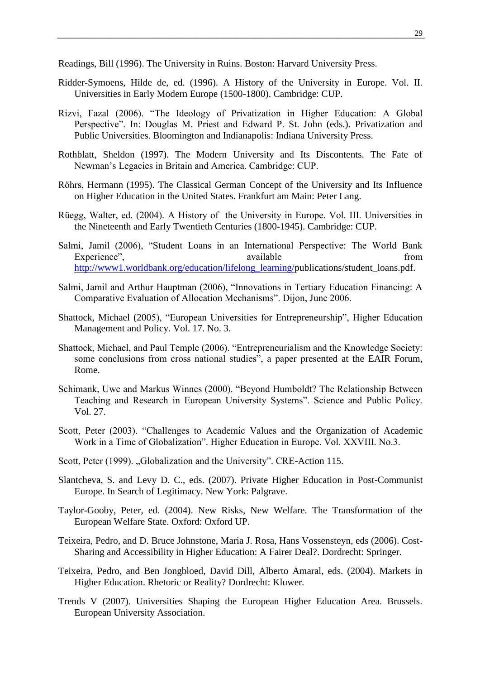Readings, Bill (1996). The University in Ruins. Boston: Harvard University Press.

- Ridder-Symoens, Hilde de, ed. (1996). A History of the University in Europe. Vol. II. Universities in Early Modern Europe (1500-1800). Cambridge: CUP.
- Rizvi, Fazal (2006). "The Ideology of Privatization in Higher Education: A Global Perspective". In: Douglas M. Priest and Edward P. St. John (eds.). Privatization and Public Universities. Bloomington and Indianapolis: Indiana University Press.
- Rothblatt, Sheldon (1997). The Modern University and Its Discontents. The Fate of Newman"s Legacies in Britain and America. Cambridge: CUP.
- Röhrs, Hermann (1995). The Classical German Concept of the University and Its Influence on Higher Education in the United States. Frankfurt am Main: Peter Lang.
- Rüegg, Walter, ed. (2004). A History of the University in Europe. Vol. III. Universities in the Nineteenth and Early Twentieth Centuries (1800-1945). Cambridge: CUP.
- Salmi, Jamil (2006), "Student Loans in an International Perspective: The World Bank Experience", available from the set of the set of the set of the set of the set of the set of the set of the set of the set of the set of the set of the set of the set of the set of the set of the set of the set of the set [http://www1.worldbank.org/education/lifelong\\_learning/p](http://www1.worldbank.org/education/lifelong_learning/)ublications/student\_loans.pdf.
- Salmi, Jamil and Arthur Hauptman (2006), "Innovations in Tertiary Education Financing: A Comparative Evaluation of Allocation Mechanisms". Dijon, June 2006.
- Shattock, Michael (2005), "European Universities for Entrepreneurship", Higher Education Management and Policy. Vol. 17. No. 3.
- Shattock, Michael, and Paul Temple (2006). "Entrepreneurialism and the Knowledge Society: some conclusions from cross national studies", a paper presented at the EAIR Forum, Rome.
- Schimank, Uwe and Markus Winnes (2000). "Beyond Humboldt? The Relationship Between Teaching and Research in European University Systems". Science and Public Policy. Vol. 27.
- Scott, Peter (2003). "Challenges to Academic Values and the Organization of Academic Work in a Time of Globalization". Higher Education in Europe. Vol. XXVIII. No.3.
- Scott, Peter (1999). "Globalization and the University". CRE-Action 115.
- Slantcheva, S. and Levy D. C., eds. (2007). Private Higher Education in Post-Communist Europe. In Search of Legitimacy. New York: Palgrave.
- Taylor-Gooby, Peter, ed. (2004). New Risks, New Welfare. The Transformation of the European Welfare State. Oxford: Oxford UP.
- Teixeira, Pedro, and D. Bruce Johnstone, Maria J. Rosa, Hans Vossensteyn, eds (2006). Cost-Sharing and Accessibility in Higher Education: A Fairer Deal?. Dordrecht: Springer.
- Teixeira, Pedro, and Ben Jongbloed, David Dill, Alberto Amaral, eds. (2004). Markets in Higher Education. Rhetoric or Reality? Dordrecht: Kluwer.
- Trends V (2007). Universities Shaping the European Higher Education Area. Brussels. European University Association.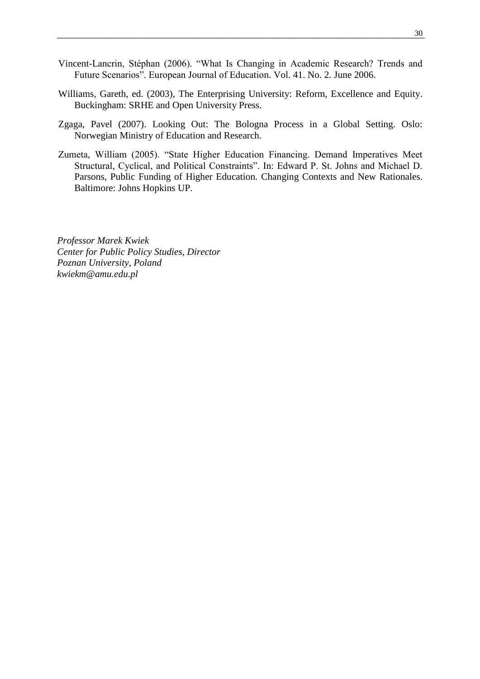- Vincent-Lancrin, Stéphan (2006). "What Is Changing in Academic Research? Trends and Future Scenarios". European Journal of Education. Vol. 41. No. 2. June 2006.
- Williams, Gareth, ed. (2003), The Enterprising University: Reform, Excellence and Equity. Buckingham: SRHE and Open University Press.
- Zgaga, Pavel (2007). Looking Out: The Bologna Process in a Global Setting. Oslo: Norwegian Ministry of Education and Research.
- Zumeta, William (2005). "State Higher Education Financing. Demand Imperatives Meet Structural, Cyclical, and Political Constraints". In: Edward P. St. Johns and Michael D. Parsons, Public Funding of Higher Education. Changing Contexts and New Rationales. Baltimore: Johns Hopkins UP.

*Professor Marek Kwiek Center for Public Policy Studies, Director Poznan University, Poland kwiekm@amu.edu.pl*